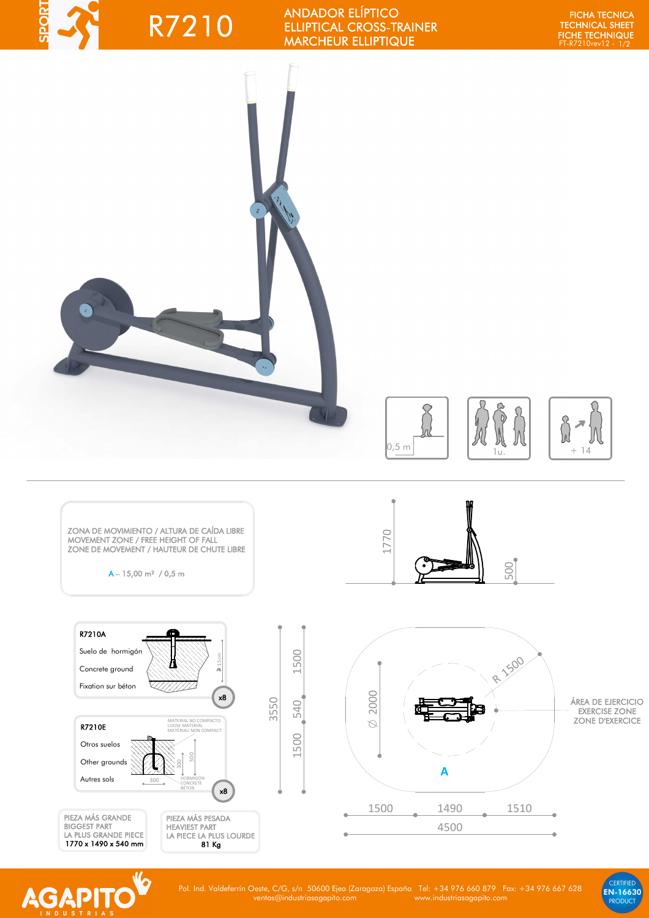## **TROGS** R7210

ANDADOR ELÍPTICO ELLIPTICAL CROSS-TRAINER MARCHEUR ELLIPTIQUE

FT-R7210rev12 - 1/2 FICHA TECNICA TECHNICAL SHEET FICHE TECHNIQUE